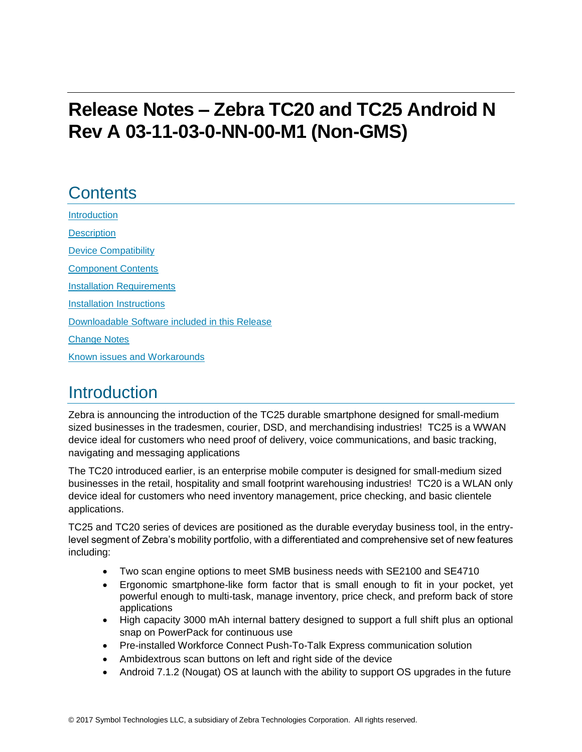# **Release Notes – Zebra TC20 and TC25 Android N Rev A 03-11-03-0-NN-00-M1 (Non-GMS)**

## **Contents**

[Introduction](#page-0-0) **[Description](#page-0-0)** [Device Compatibility](#page-1-0)

[Component Contents](#page-1-1)

[Installation Requirements](#page-2-0)

[Installation Instructions](#page-3-0)

[Downloadable Software included in this Release](#page-5-0)

<span id="page-0-0"></span>[Change Notes](#page-6-0)

Known [issues](#page-8-0) [and](#page-8-0) Workarounds

### **Introduction**

Zebra is announcing the introduction of the TC25 durable smartphone designed for small-medium sized businesses in the tradesmen, courier, DSD, and merchandising industries! TC25 is a WWAN device ideal for customers who need proof of delivery, voice communications, and basic tracking, navigating and messaging applications

The TC20 introduced earlier, is an enterprise mobile computer is designed for small-medium sized businesses in the retail, hospitality and small footprint warehousing industries! TC20 is a WLAN only device ideal for customers who need inventory management, price checking, and basic clientele applications.

TC25 and TC20 series of devices are positioned as the durable everyday business tool, in the entrylevel segment of Zebra's mobility portfolio, with a differentiated and comprehensive set of new features including:

- Two scan engine options to meet SMB business needs with SE2100 and SE4710
- Ergonomic smartphone-like form factor that is small enough to fit in your pocket, yet powerful enough to multi-task, manage inventory, price check, and preform back of store applications
- High capacity 3000 mAh internal battery designed to support a full shift plus an optional snap on PowerPack for continuous use
- Pre-installed Workforce Connect Push-To-Talk Express communication solution
- Ambidextrous scan buttons on left and right side of the device
- Android 7.1.2 (Nougat) OS at launch with the ability to support OS upgrades in the future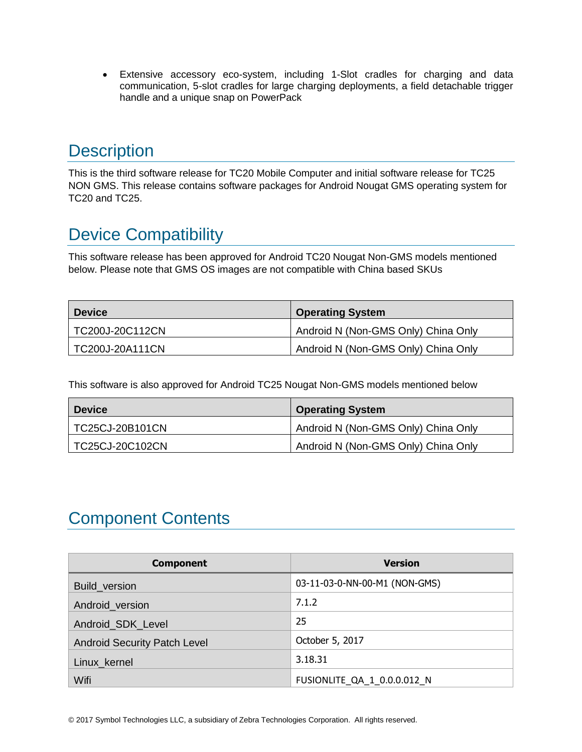Extensive accessory eco-system, including 1-Slot cradles for charging and data communication, 5-slot cradles for large charging deployments, a field detachable trigger handle and a unique snap on PowerPack

## **Description**

<span id="page-1-0"></span>This is the third software release for TC20 Mobile Computer and initial software release for TC25 NON GMS. This release contains software packages for Android Nougat GMS operating system for TC20 and TC25.

## Device Compatibility

This software release has been approved for Android TC20 Nougat Non-GMS models mentioned below. Please note that GMS OS images are not compatible with China based SKUs

| <b>Device</b>   | <b>Operating System</b>             |
|-----------------|-------------------------------------|
| TC200J-20C112CN | Android N (Non-GMS Only) China Only |
| TC200J-20A111CN | Android N (Non-GMS Only) China Only |

This software is also approved for Android TC25 Nougat Non-GMS models mentioned below

| <b>Device</b>   | <b>Operating System</b>             |
|-----------------|-------------------------------------|
| TC25CJ-20B101CN | Android N (Non-GMS Only) China Only |
| TC25CJ-20C102CN | Android N (Non-GMS Only) China Only |

### <span id="page-1-1"></span>Component Contents

| <b>Component</b>                    | <b>Version</b>                |
|-------------------------------------|-------------------------------|
| Build_version                       | 03-11-03-0-NN-00-M1 (NON-GMS) |
| Android_version                     | 7.1.2                         |
| Android_SDK_Level                   | 25                            |
| <b>Android Security Patch Level</b> | October 5, 2017               |
| Linux_kernel                        | 3.18.31                       |
| Wifi                                | FUSIONLITE_QA_1_0.0.0.012_N   |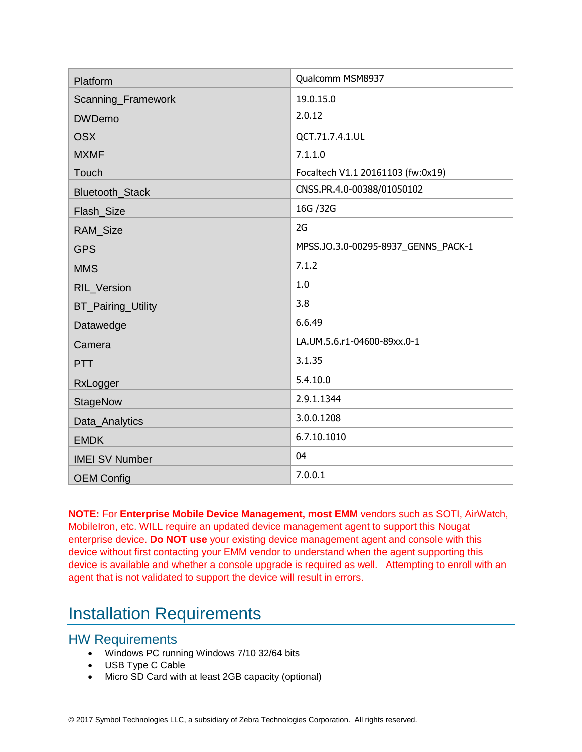| Platform                  | Qualcomm MSM8937                    |
|---------------------------|-------------------------------------|
| Scanning_Framework        | 19.0.15.0                           |
| <b>DWDemo</b>             | 2.0.12                              |
| <b>OSX</b>                | QCT.71.7.4.1.UL                     |
| <b>MXMF</b>               | 7.1.1.0                             |
| Touch                     | Focaltech V1.1 20161103 (fw:0x19)   |
| Bluetooth_Stack           | CNSS.PR.4.0-00388/01050102          |
| Flash_Size                | 16G / 32G                           |
| <b>RAM Size</b>           | 2G                                  |
| <b>GPS</b>                | MPSS.JO.3.0-00295-8937_GENNS_PACK-1 |
| <b>MMS</b>                | 7.1.2                               |
| RIL_Version               | 1.0                                 |
| <b>BT_Pairing_Utility</b> | 3.8                                 |
| Datawedge                 | 6.6.49                              |
| Camera                    | LA.UM.5.6.r1-04600-89xx.0-1         |
| <b>PTT</b>                | 3.1.35                              |
| RxLogger                  | 5.4.10.0                            |
| <b>StageNow</b>           | 2.9.1.1344                          |
| Data_Analytics            | 3.0.0.1208                          |
| <b>EMDK</b>               | 6.7.10.1010                         |
| <b>IMEI SV Number</b>     | 04                                  |
| <b>OEM Config</b>         | 7.0.0.1                             |

**NOTE:** For **Enterprise Mobile Device Management, most EMM** vendors such as SOTI, AirWatch, MobileIron, etc. WILL require an updated device management agent to support this Nougat enterprise device. **Do NOT use** your existing device management agent and console with this device without first contacting your EMM vendor to understand when the agent supporting this device is available and whether a console upgrade is required as well. Attempting to enroll with an agent that is not validated to support the device will result in errors.

### <span id="page-2-0"></span>Installation Requirements

#### HW Requirements

- Windows PC running Windows 7/10 32/64 bits
- USB Type C Cable
- Micro SD Card with at least 2GB capacity (optional)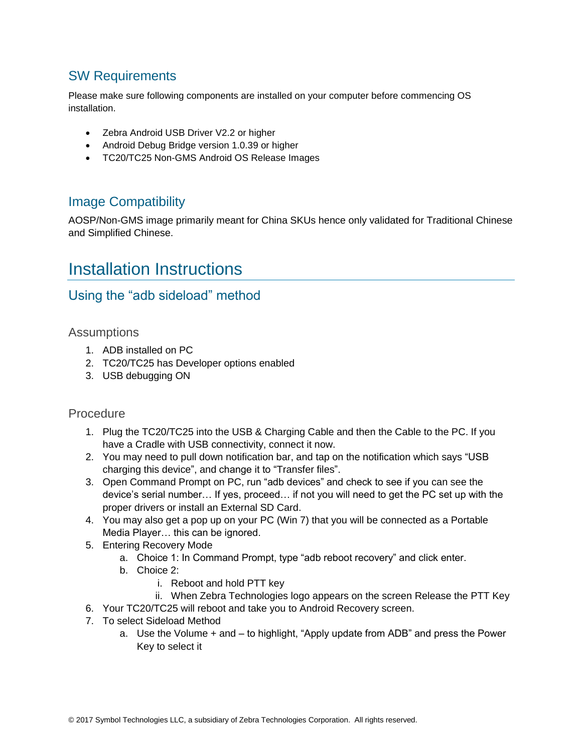#### SW Requirements

Please make sure following components are installed on your computer before commencing OS installation.

- Zebra Android USB Driver V2.2 or higher
- Android Debug Bridge version 1.0.39 or higher
- TC20/TC25 Non-GMS Android OS Release Images

#### Image Compatibility

AOSP/Non-GMS image primarily meant for China SKUs hence only validated for Traditional Chinese and Simplified Chinese.

### <span id="page-3-0"></span>Installation Instructions

#### Using the "adb sideload" method

**Assumptions** 

- 1. ADB installed on PC
- 2. TC20/TC25 has Developer options enabled
- 3. USB debugging ON

#### Procedure

- 1. Plug the TC20/TC25 into the USB & Charging Cable and then the Cable to the PC. If you have a Cradle with USB connectivity, connect it now.
- 2. You may need to pull down notification bar, and tap on the notification which says "USB charging this device", and change it to "Transfer files".
- 3. Open Command Prompt on PC, run "adb devices" and check to see if you can see the device's serial number… If yes, proceed… if not you will need to get the PC set up with the proper drivers or install an External SD Card.
- 4. You may also get a pop up on your PC (Win 7) that you will be connected as a Portable Media Player… this can be ignored.
- 5. Entering Recovery Mode
	- a. Choice 1: In Command Prompt, type "adb reboot recovery" and click enter.
	- b. Choice 2:
		- i. Reboot and hold PTT key
		- ii. When Zebra Technologies logo appears on the screen Release the PTT Key
- 6. Your TC20/TC25 will reboot and take you to Android Recovery screen.
- 7. To select Sideload Method
	- a. Use the Volume + and to highlight, "Apply update from ADB" and press the Power Key to select it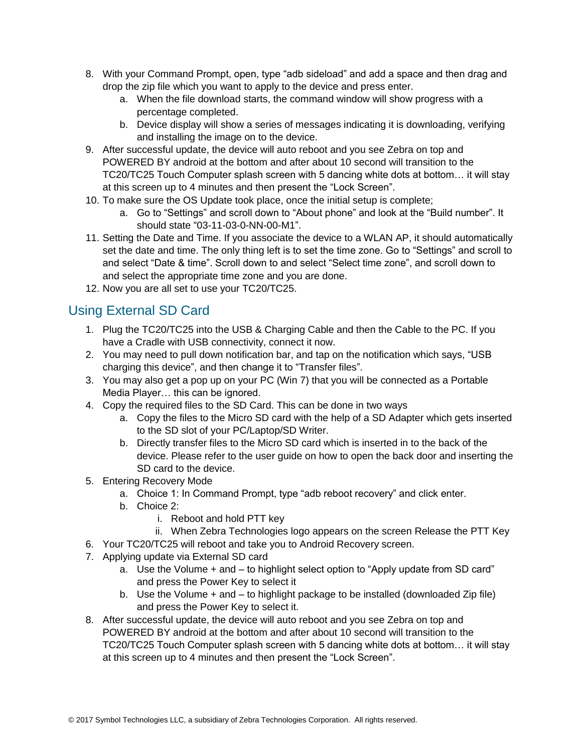- 8. With your Command Prompt, open, type "adb sideload" and add a space and then drag and drop the zip file which you want to apply to the device and press enter.
	- a. When the file download starts, the command window will show progress with a percentage completed.
	- b. Device display will show a series of messages indicating it is downloading, verifying and installing the image on to the device.
- 9. After successful update, the device will auto reboot and you see Zebra on top and POWERED BY android at the bottom and after about 10 second will transition to the TC20/TC25 Touch Computer splash screen with 5 dancing white dots at bottom… it will stay at this screen up to 4 minutes and then present the "Lock Screen".
- 10. To make sure the OS Update took place, once the initial setup is complete;
	- a. Go to "Settings" and scroll down to "About phone" and look at the "Build number". It should state "03-11-03-0-NN-00-M1".
- 11. Setting the Date and Time. If you associate the device to a WLAN AP, it should automatically set the date and time. The only thing left is to set the time zone. Go to "Settings" and scroll to and select "Date & time". Scroll down to and select "Select time zone", and scroll down to and select the appropriate time zone and you are done.
- 12. Now you are all set to use your TC20/TC25.

### Using External SD Card

- 1. Plug the TC20/TC25 into the USB & Charging Cable and then the Cable to the PC. If you have a Cradle with USB connectivity, connect it now.
- 2. You may need to pull down notification bar, and tap on the notification which says, "USB charging this device", and then change it to "Transfer files".
- 3. You may also get a pop up on your PC (Win 7) that you will be connected as a Portable Media Player… this can be ignored.
- 4. Copy the required files to the SD Card. This can be done in two ways
	- a. Copy the files to the Micro SD card with the help of a SD Adapter which gets inserted to the SD slot of your PC/Laptop/SD Writer.
	- b. Directly transfer files to the Micro SD card which is inserted in to the back of the device. Please refer to the user guide on how to open the back door and inserting the SD card to the device.
- 5. Entering Recovery Mode
	- a. Choice 1: In Command Prompt, type "adb reboot recovery" and click enter.
	- b. Choice 2:
		- i. Reboot and hold PTT key
		- ii. When Zebra Technologies logo appears on the screen Release the PTT Key
- 6. Your TC20/TC25 will reboot and take you to Android Recovery screen.
- 7. Applying update via External SD card
	- a. Use the Volume + and to highlight select option to "Apply update from SD card" and press the Power Key to select it
	- b. Use the Volume + and to highlight package to be installed (downloaded Zip file) and press the Power Key to select it.
- 8. After successful update, the device will auto reboot and you see Zebra on top and POWERED BY android at the bottom and after about 10 second will transition to the TC20/TC25 Touch Computer splash screen with 5 dancing white dots at bottom… it will stay at this screen up to 4 minutes and then present the "Lock Screen".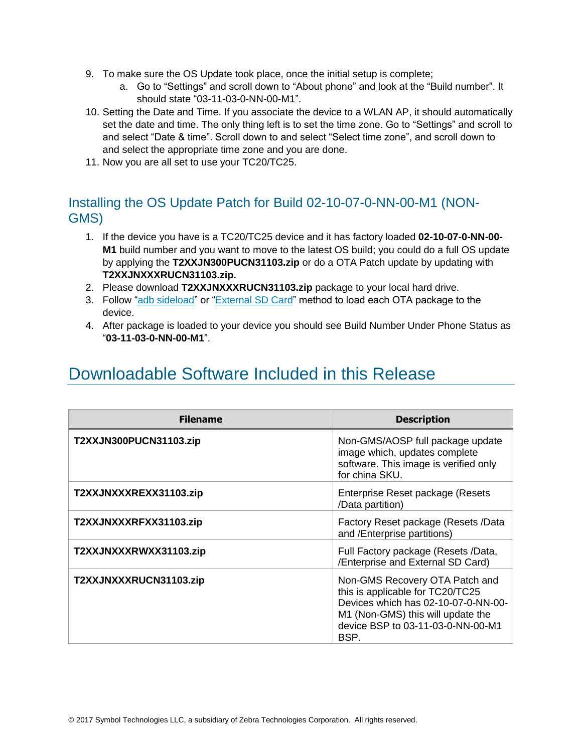- 9. To make sure the OS Update took place, once the initial setup is complete;
	- a. Go to "Settings" and scroll down to "About phone" and look at the "Build number". It should state "03-11-03-0-NN-00-M1".
- 10. Setting the Date and Time. If you associate the device to a WLAN AP, it should automatically set the date and time. The only thing left is to set the time zone. Go to "Settings" and scroll to and select "Date & time". Scroll down to and select "Select time zone", and scroll down to and select the appropriate time zone and you are done.
- 11. Now you are all set to use your TC20/TC25.

#### Installing the OS Update Patch for Build 02-10-07-0-NN-00-M1 (NON-GMS)

- 1. If the device you have is a TC20/TC25 device and it has factory loaded **02-10-07-0-NN-00- M1** build number and you want to move to the latest OS build; you could do a full OS update by applying the **T2XXJN300PUCN31103.zip** or do a OTA Patch update by updating with **T2XXJNXXXRUCN31103.zip.**
- 2. Please download **T2XXJNXXXRUCN31103.zip** package to your local hard drive.
- 3. Follow ["adb sideload"](adb#_Using_the_) or "External SD Card" method to load each OTA package to the device.
- 4. After package is loaded to your device you should see Build Number Under Phone Status as "**03-11-03-0-NN-00-M1**".

### <span id="page-5-0"></span>Downloadable Software Included in this Release

| <b>Filename</b>        | <b>Description</b>                                                                                                                                                                          |
|------------------------|---------------------------------------------------------------------------------------------------------------------------------------------------------------------------------------------|
| T2XXJN300PUCN31103.zip | Non-GMS/AOSP full package update<br>image which, updates complete<br>software. This image is verified only<br>for china SKU.                                                                |
| T2XXJNXXXREXX31103.zip | Enterprise Reset package (Resets<br>/Data partition)                                                                                                                                        |
| T2XXJNXXXRFXX31103.zip | Factory Reset package (Resets /Data<br>and /Enterprise partitions)                                                                                                                          |
| T2XXJNXXXRWXX31103.zip | Full Factory package (Resets /Data,<br>/Enterprise and External SD Card)                                                                                                                    |
| T2XXJNXXXRUCN31103.zip | Non-GMS Recovery OTA Patch and<br>this is applicable for TC20/TC25<br>Devices which has 02-10-07-0-NN-00-<br>M1 (Non-GMS) this will update the<br>device BSP to 03-11-03-0-NN-00-M1<br>BSP. |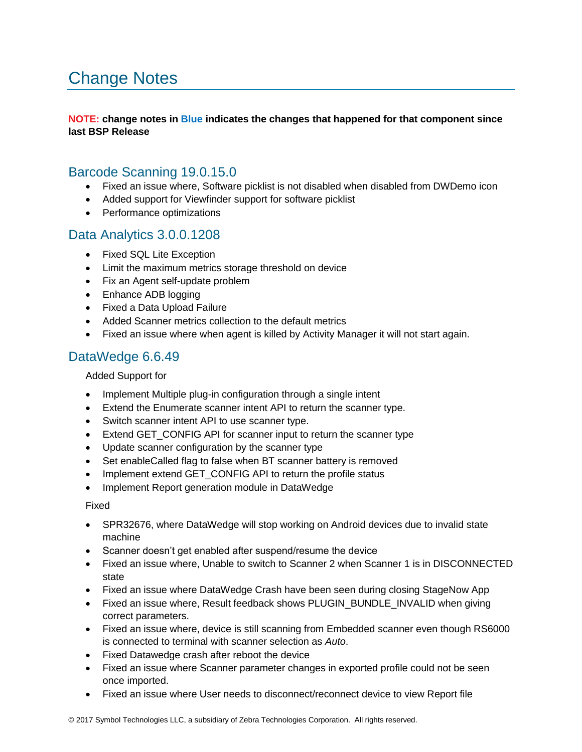## <span id="page-6-0"></span>Change Notes

#### **NOTE: change notes in Blue indicates the changes that happened for that component since last BSP Release**

#### Barcode Scanning 19.0.15.0

- Fixed an issue where, Software picklist is not disabled when disabled from DWDemo icon
- Added support for Viewfinder support for software picklist
- Performance optimizations

#### Data Analytics 3.0.0.1208

- Fixed SQL Lite Exception
- Limit the maximum metrics storage threshold on device
- Fix an Agent self-update problem
- Enhance ADB logging
- Fixed a Data Upload Failure
- Added Scanner metrics collection to the default metrics
- Fixed an issue where when agent is killed by Activity Manager it will not start again.

#### DataWedge 6.6.49

#### Added Support for

- Implement Multiple plug-in configuration through a single intent
- Extend the Enumerate scanner intent API to return the scanner type.
- Switch scanner intent API to use scanner type.
- Extend GET CONFIG API for scanner input to return the scanner type
- Update scanner configuration by the scanner type
- Set enableCalled flag to false when BT scanner battery is removed
- Implement extend GET\_CONFIG API to return the profile status
- Implement Report generation module in DataWedge

Fixed

- SPR32676, where DataWedge will stop working on Android devices due to invalid state machine
- Scanner doesn't get enabled after suspend/resume the device
- Fixed an issue where, Unable to switch to Scanner 2 when Scanner 1 is in DISCONNECTED state
- Fixed an issue where DataWedge Crash have been seen during closing StageNow App
- Fixed an issue where, Result feedback shows PLUGIN\_BUNDLE\_INVALID when giving correct parameters.
- Fixed an issue where, device is still scanning from Embedded scanner even though RS6000 is connected to terminal with scanner selection as *Auto*.
- Fixed Datawedge crash after reboot the device
- Fixed an issue where Scanner parameter changes in exported profile could not be seen once imported.
- Fixed an issue where User needs to disconnect/reconnect device to view Report file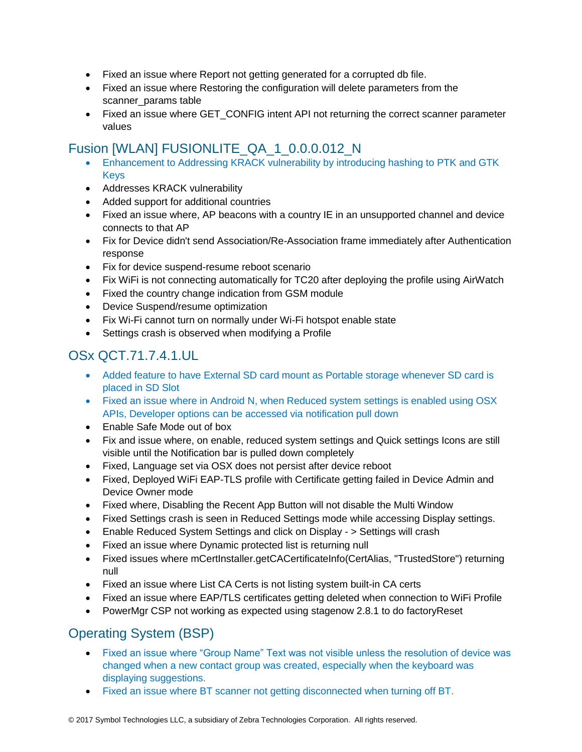- Fixed an issue where Report not getting generated for a corrupted db file.
- Fixed an issue where Restoring the configuration will delete parameters from the scanner\_params table
- Fixed an issue where GET\_CONFIG intent API not returning the correct scanner parameter values

#### Fusion [WLAN] FUSIONLITE\_QA\_1\_0.0.0.012\_N

- Enhancement to Addressing KRACK vulnerability by introducing hashing to PTK and GTK Keys
- Addresses KRACK vulnerability
- Added support for additional countries
- Fixed an issue where, AP beacons with a country IE in an unsupported channel and device connects to that AP
- Fix for Device didn't send Association/Re-Association frame immediately after Authentication response
- Fix for device suspend-resume reboot scenario
- Fix WiFi is not connecting automatically for TC20 after deploying the profile using AirWatch
- Fixed the country change indication from GSM module
- Device Suspend/resume optimization
- Fix Wi-Fi cannot turn on normally under Wi-Fi hotspot enable state
- Settings crash is observed when modifying a Profile

### OSx QCT.71.7.4.1.UL

- Added feature to have External SD card mount as Portable storage whenever SD card is placed in SD Slot
- Fixed an issue where in Android N, when Reduced system settings is enabled using OSX APIs, Developer options can be accessed via notification pull down
- Enable Safe Mode out of box
- Fix and issue where, on enable, reduced system settings and Quick settings Icons are still visible until the Notification bar is pulled down completely
- Fixed, Language set via OSX does not persist after device reboot
- Fixed, Deployed WiFi EAP-TLS profile with Certificate getting failed in Device Admin and Device Owner mode
- Fixed where, Disabling the Recent App Button will not disable the Multi Window
- Fixed Settings crash is seen in Reduced Settings mode while accessing Display settings.
- Enable Reduced System Settings and click on Display > Settings will crash
- Fixed an issue where Dynamic protected list is returning null
- Fixed issues where mCertInstaller.getCACertificateInfo(CertAlias, "TrustedStore") returning null
- Fixed an issue where List CA Certs is not listing system built-in CA certs
- Fixed an issue where EAP/TLS certificates getting deleted when connection to WiFi Profile
- PowerMgr CSP not working as expected using stagenow 2.8.1 to do factoryReset

### Operating System (BSP)

- Fixed an issue where "Group Name" Text was not visible unless the resolution of device was changed when a new contact group was created, especially when the keyboard was displaying suggestions.
- Fixed an issue where BT scanner not getting disconnected when turning off BT.